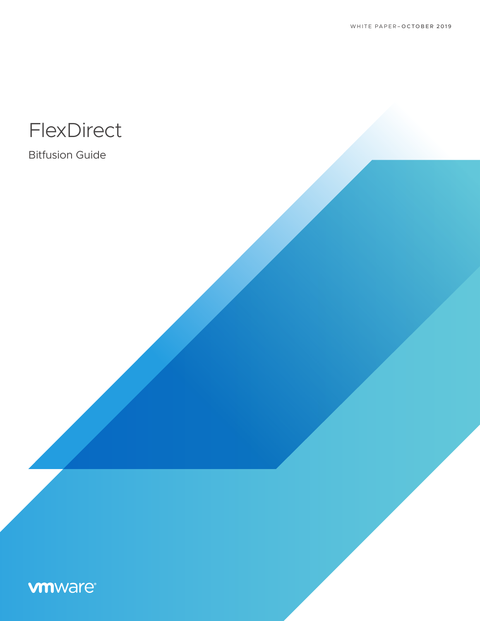

Bitfusion Guide

# **vm**ware®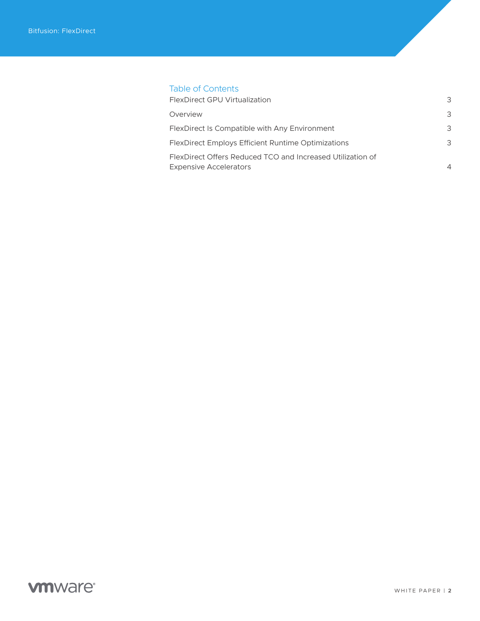## Table of Contents

| FlexDirect GPU Virtualization                                                               | 3 |
|---------------------------------------------------------------------------------------------|---|
| Overview                                                                                    | 3 |
| FlexDirect Is Compatible with Any Environment                                               | 3 |
| <b>FlexDirect Employs Efficient Runtime Optimizations</b>                                   | 3 |
| FlexDirect Offers Reduced TCO and Increased Utilization of<br><b>Expensive Accelerators</b> |   |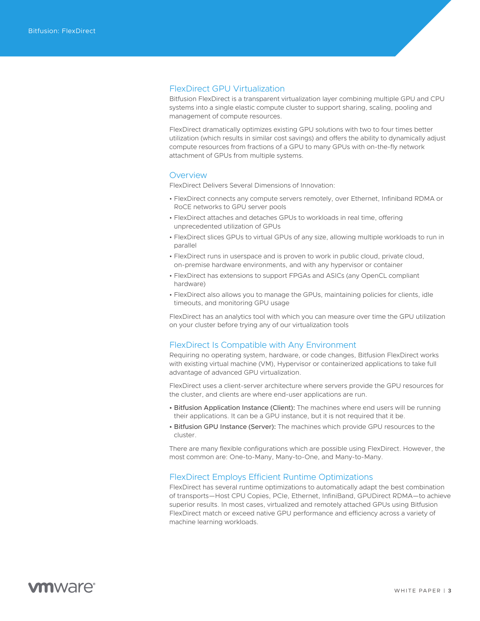#### <span id="page-2-0"></span>FlexDirect GPU Virtualization

Bitfusion FlexDirect is a transparent virtualization layer combining multiple GPU and CPU systems into a single elastic compute cluster to support sharing, scaling, pooling and management of compute resources.

FlexDirect dramatically optimizes existing GPU solutions with two to four times better utilization (which results in similar cost savings) and offers the ability to dynamically adjust compute resources from fractions of a GPU to many GPUs with on-the-fly network attachment of GPUs from multiple systems.

#### **Overview**

FlexDirect Delivers Several Dimensions of Innovation:

- FlexDirect connects any compute servers remotely, over Ethernet, Infiniband RDMA or RoCE networks to GPU server pools
- FlexDirect attaches and detaches GPUs to workloads in real time, offering unprecedented utilization of GPUs
- FlexDirect slices GPUs to virtual GPUs of any size, allowing multiple workloads to run in parallel
- FlexDirect runs in userspace and is proven to work in public cloud, private cloud, on-premise hardware environments, and with any hypervisor or container
- FlexDirect has extensions to support FPGAs and ASICs (any OpenCL compliant hardware)
- FlexDirect also allows you to manage the GPUs, maintaining policies for clients, idle timeouts, and monitoring GPU usage

FlexDirect has an analytics tool with which you can measure over time the GPU utilization on your cluster before trying any of our virtualization tools

#### FlexDirect Is Compatible with Any Environment

Requiring no operating system, hardware, or code changes, Bitfusion FlexDirect works with existing virtual machine (VM), Hypervisor or containerized applications to take full advantage of advanced GPU virtualization.

FlexDirect uses a client-server architecture where servers provide the GPU resources for the cluster, and clients are where end-user applications are run.

- Bitfusion Application Instance (Client): The machines where end users will be running their applications. It can be a GPU instance, but it is not required that it be.
- Bitfusion GPU Instance (Server): The machines which provide GPU resources to the cluster.

There are many flexible configurations which are possible using FlexDirect. However, the most common are: One-to-Many, Many-to-One, and Many-to-Many.

#### FlexDirect Employs Efficient Runtime Optimizations

FlexDirect has several runtime optimizations to automatically adapt the best combination of transports—Host CPU Copies, PCIe, Ethernet, InfiniBand, GPUDirect RDMA—to achieve superior results. In most cases, virtualized and remotely attached GPUs using Bitfusion FlexDirect match or exceed native GPU performance and efficiency across a variety of machine learning workloads.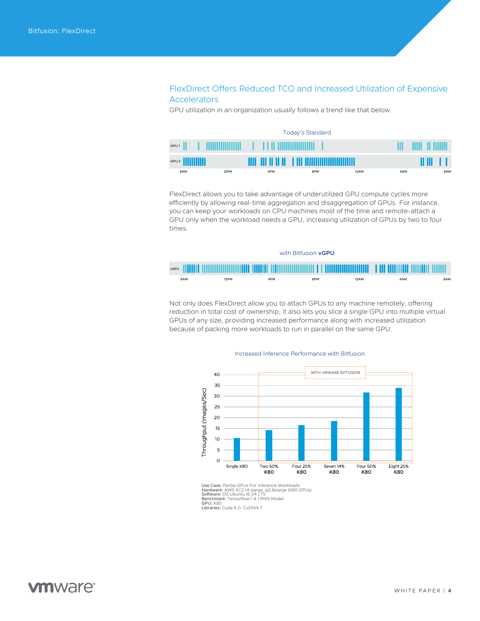### <span id="page-3-0"></span>FlexDirect Offers Reduced TCO and Increased Utilization of Expensive Accelerators

GPU utilization in an organization usually follows a trend like that below.

| Today's Standard          |  |      |  |                      |     |                                                   |      |     |   |        |    |     |
|---------------------------|--|------|--|----------------------|-----|---------------------------------------------------|------|-----|---|--------|----|-----|
| GPU <sub>1</sub>          |  |      |  | ____________________ |     |                                                   |      |     | ш | 11 MM  |    |     |
| GPU 2 <b>            </b> |  |      |  |                      |     | <b>THE THEFT OF HE ALL AND ANOTHER CONTINUES.</b> |      |     |   | 88 B.S | л. |     |
| 8AM                       |  | 12PM |  | 4PM                  | 8PM |                                                   | 12AM | 4AM |   |        |    | 8AM |

FlexDirect allows you to take advantage of underutilized GPU compute cycles more efficiently by allowing real-time aggregation and disaggregation of GPUs. For instance, you can keep your workloads on CPU machines most of the time and remote-attach a GPU only when the workload needs a GPU, increasing utilization of GPUs by two to four times.



Not only does FlexDirect allow you to attach GPUs to any machine remotely, offering reduction in total cost of ownership, it also lets you slice a single GPU into multiple virtual GPUs of any size, providing increased performance along with increased utilization because of packing more workloads to run in parallel on the same GPU.

#### Increased Inference Performance with Bitfusion



Use Case: Partial GPUs For Inference Workloads<br>Hardware: AWS EC2 r4.xlarge, p2.8xlarge (K80 GPUs)<br>**Software**: OS Ubuntu 16.04 LTS<br>**Benchmark:** Tensorflow 1.4.1 RNN Model GPU: K80 Libraries: Cuda 9.0, CuDNN 7

**vm**ware<sup>®</sup>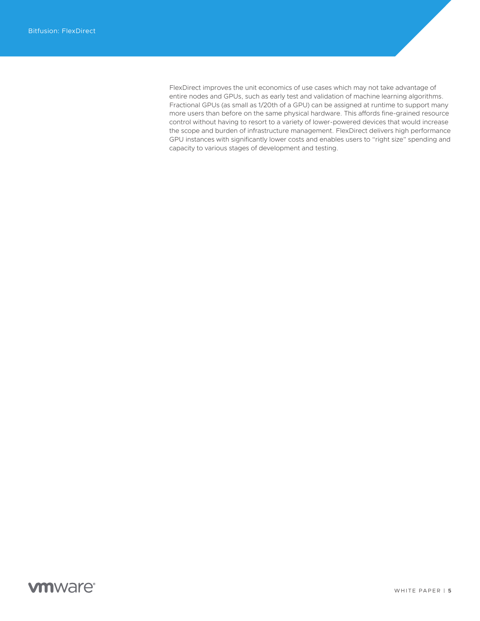FlexDirect improves the unit economics of use cases which may not take advantage of entire nodes and GPUs, such as early test and validation of machine learning algorithms. Fractional GPUs (as small as 1/20th of a GPU) can be assigned at runtime to support many more users than before on the same physical hardware. This affords fine-grained resource control without having to resort to a variety of lower-powered devices that would increase the scope and burden of infrastructure management. FlexDirect delivers high performance GPU instances with significantly lower costs and enables users to "right size" spending and capacity to various stages of development and testing.

# **vm**ware<sup>®</sup>